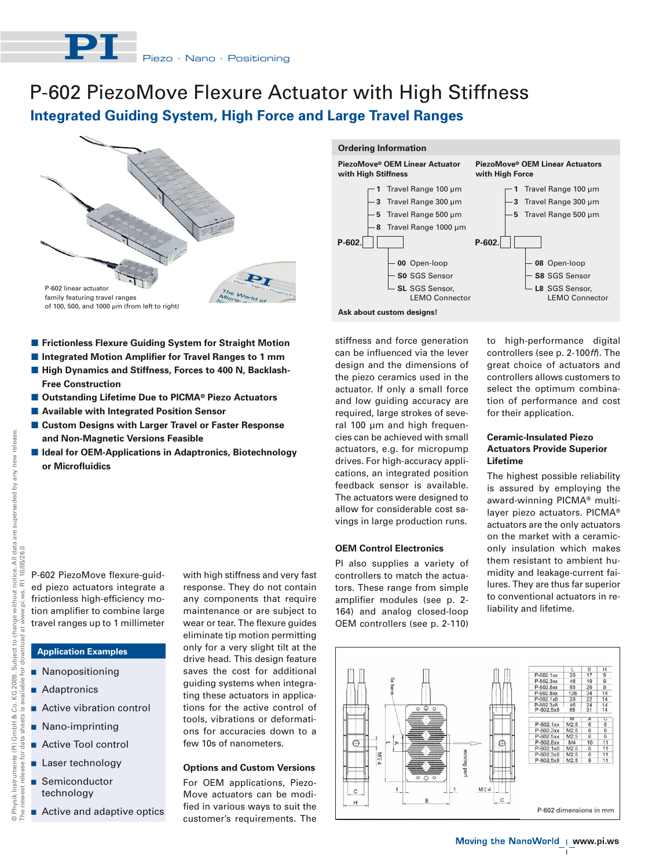

# **Integrated Guiding System, High Force and Large Travel Ranges** P-602 PiezoMove Flexure Actuator with High Stiffness



- **E** Frictionless Flexure Guiding System for Straight Motion  $\blacksquare$  Integrated Motion Amplifier for Travel Ranges to 1 mm
- High Dynamics and Stiffness, Forces to 400 N, Backlash-**Free Construction**
- Outstanding Lifetime Due to PICMA<sup>®</sup> Piezo Actuators
- **E** Available with Integrated Position Sensor
- **E Custom Designs with Larger Travel or Faster Response and Non-Magnetic Versions Feasible**
- **E Ideal for OEM-Applications in Adaptronics, Biotechnology or Microfluidics**

P-602 PiezoMove flexure-guided piezo actuators integrate a frictionless high-efficiency motion amplifier to combine large travel ranges up to 1 millimeter

# **Application Examples**

- **Nanopositioning**
- **Adaptronics**
- **Active vibration control**
- **Nano-imprinting**
- **Active Tool control**
- **Laser technology**
- Semiconductor technology
- **E** Active and adaptive optics

with high stiffness and very fast response. They do not contain any components that require maintenance or are subject to wear or tear. The flexure guides eliminate tip motion permitting only for a very slight tilt at the drive head. This design feature saves the cost for additional guiding systems when integrating these actuators in applications for the active control of tools, vibrations or deformations for accuracies down to a few 10s of nanometers.

# **Options and Custom Versions**

For OEM applications, Piezo-Move actuators can be modified in various ways to suit the customer's requirements. The





stiffness and force generation can be influenced via the lever design and the dimensions of the piezo ceramics used in the actuator. If only a small force and low guiding accuracy are required, large strokes of several 100 μm and high frequencies can be achieved with small actuators, e.g. for micropump drives. For high-accuracy applications, an integrated position feedback sensor is available. The actuators were designed to allow for considerable cost savings in large production runs.

#### **OEM Control Electronics**

PI also supplies a variety of controllers to match the actuators. These range from simple amplifier modules (see p. 2- 164) and analog closed-loop OEM controllers (see p. 2-110) to high-performance digital controllers (see p. 2-100ff). The great choice of actuators and controllers allows customers to select the optimum combination of performance and cost for their application.

# **Ceramic-Insulated Piezo Actuators Provide Superior Lifetime**

The highest possible reliability is assured by employing the award-winning PICMA® multilayer piezo actuators. PICMA® actuators are the only actuators on the market with a ceramiconly insulation which makes them resistant to ambient humidity and leakage-current failures. They are thus far superior to conventional actuators in reliability and lifetime.



The newest release for data sheets is available for download at www.pi.ws. R1 10/05/26.0

elease